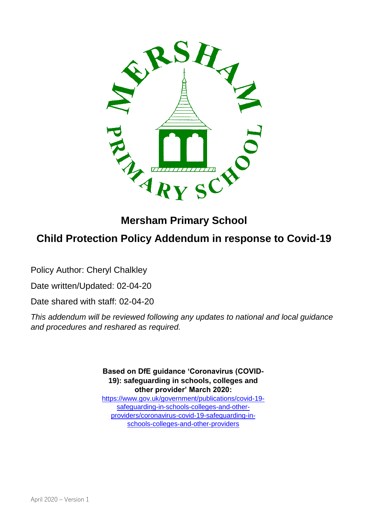

# **Mersham Primary School**

# **Child Protection Policy Addendum in response to Covid-19**

Policy Author: Cheryl Chalkley

Date written/Updated: 02-04-20

Date shared with staff: 02-04-20

*This addendum will be reviewed following any updates to national and local guidance and procedures and reshared as required.* 

> **Based on DfE guidance 'Coronavirus (COVID-19): safeguarding in schools, colleges and other provider' March 2020:**  [https://www.gov.uk/government/publications/covid-19](https://www.gov.uk/government/publications/covid-19-safeguarding-in-schools-colleges-and-other-providers/coronavirus-covid-19-safeguarding-in-schools-colleges-and-other-providers) [safeguarding-in-schools-colleges-and-other](https://www.gov.uk/government/publications/covid-19-safeguarding-in-schools-colleges-and-other-providers/coronavirus-covid-19-safeguarding-in-schools-colleges-and-other-providers)[providers/coronavirus-covid-19-safeguarding-in-](https://www.gov.uk/government/publications/covid-19-safeguarding-in-schools-colleges-and-other-providers/coronavirus-covid-19-safeguarding-in-schools-colleges-and-other-providers)

> > [schools-colleges-and-other-providers](https://www.gov.uk/government/publications/covid-19-safeguarding-in-schools-colleges-and-other-providers/coronavirus-covid-19-safeguarding-in-schools-colleges-and-other-providers)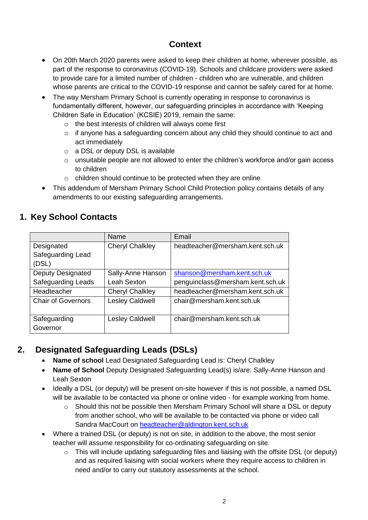# **Context**

- On 20th March 2020 parents were asked to keep their children at home, wherever possible, as part of the response to coronavirus (COVID-19). Schools and childcare providers were asked to provide care for a limited number of children - children who are vulnerable, and children whose parents are critical to the COVID-19 response and cannot be safely cared for at home.
- The way Mersham Primary School is currently operating in response to coronavirus is fundamentally different, however, our safeguarding principles in accordance with 'Keeping Children Safe in Education' (KCSIE) 2019, remain the same:
	- o the best interests of children will always come first
	- $\circ$  if anyone has a safeguarding concern about any child they should continue to act and act immediately
	- o a DSL or deputy DSL is available
	- o unsuitable people are not allowed to enter the children's workforce and/or gain access to children
	- o children should continue to be protected when they are online
- This addendum of Mersham Primary School Child Protection policy contains details of any amendments to our existing safeguarding arrangements.

## **1. Key School Contacts**

|                           | Name                   | Email                            |
|---------------------------|------------------------|----------------------------------|
| Designated                | <b>Cheryl Chalkley</b> | headteacher@mersham.kent.sch.uk  |
| Safeguarding Lead         |                        |                                  |
| (DSL)                     |                        |                                  |
| <b>Deputy Designated</b>  | Sally-Anne Hanson      | shanson@mersham.kent.sch.uk      |
| Safeguarding Leads        | Leah Sexton            | penguinclass@mersham.kent.sch.uk |
| Headteacher               | <b>Cheryl Chalkley</b> | headteacher@mersham.kent.sch.uk  |
| <b>Chair of Governors</b> | <b>Lesley Caldwell</b> | chair@mersham.kent.sch.uk        |
|                           |                        |                                  |
| Safeguarding              | <b>Lesley Caldwell</b> | chair@mersham.kent.sch.uk        |
| Governor                  |                        |                                  |

# **2. Designated Safeguarding Leads (DSLs)**

- **Name of school** Lead Designated Safeguarding Lead is: Cheryl Chalkley
- **Name of School** Deputy Designated Safeguarding Lead(s) is/are: Sally-Anne Hanson and Leah Sexton
- Ideally a DSL (or deputy) will be present on-site however if this is not possible, a named DSL will be available to be contacted via phone or online video - for example working from home.
	- o Should this not be possible then Mersham Primary School will share a DSL or deputy from another school, who will be available to be contacted via phone or video call Sandra MacCourt on [headteacher@aldington.kent.sch.uk](mailto:headteacher@aldington.kent.sch.uk)
- Where a trained DSL (or deputy) is not on site, in addition to the above, the most senior teacher will assume responsibility for co-ordinating safeguarding on site.
	- $\circ$  This will include updating safeguarding files and liaising with the offsite DSL (or deputy) and as required liaising with social workers where they require access to children in need and/or to carry out statutory assessments at the school.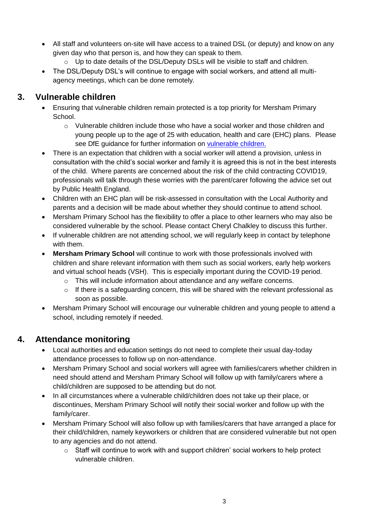- All staff and volunteers on-site will have access to a trained DSL (or deputy) and know on any given day who that person is, and how they can speak to them.
	- o Up to date details of the DSL/Deputy DSLs will be visible to staff and children.
- The DSL/Deputy DSL's will continue to engage with social workers, and attend all multiagency meetings, which can be done remotely.

## **3. Vulnerable children**

- Ensuring that vulnerable children remain protected is a top priority for Mersham Primary School.
	- $\circ$  Vulnerable children include those who have a social worker and those children and young people up to the age of 25 with education, health and care (EHC) plans. Please see DfE guidance for further information on [vulnerable children.](https://www.gov.uk/government/publications/coronavirus-covid-19-guidance-on-vulnerable-children-and-young-people/coronavirus-covid-19-guidance-on-vulnerable-children-and-young-people)
- There is an expectation that children with a social worker will attend a provision, unless in consultation with the child's social worker and family it is agreed this is not in the best interests of the child. Where parents are concerned about the risk of the child contracting COVID19, professionals will talk through these worries with the parent/carer following the advice set out by Public Health England.
- Children with an EHC plan will be risk-assessed in consultation with the Local Authority and parents and a decision will be made about whether they should continue to attend school.
- Mersham Primary School has the flexibility to offer a place to other learners who may also be considered vulnerable by the school. Please contact Cheryl Chalkley to discuss this further.
- If vulnerable children are not attending school, we will regularly keep in contact by telephone with them.
- **Mersham Primary School** will continue to work with those professionals involved with children and share relevant information with them such as social workers, early help workers and virtual school heads (VSH). This is especially important during the COVID-19 period.
	- $\circ$  This will include information about attendance and any welfare concerns.
	- o If there is a safeguarding concern, this will be shared with the relevant professional as soon as possible.
- Mersham Primary School will encourage our vulnerable children and young people to attend a school, including remotely if needed.

## **4. Attendance monitoring**

- Local authorities and education settings do not need to complete their usual day-today attendance processes to follow up on non-attendance.
- Mersham Primary School and social workers will agree with families/carers whether children in need should attend and Mersham Primary School will follow up with family/carers where a child/children are supposed to be attending but do not.
- In all circumstances where a vulnerable child/children does not take up their place, or discontinues, Mersham Primary School will notify their social worker and follow up with the family/carer.
- Mersham Primary School will also follow up with families/carers that have arranged a place for their child/children, namely keyworkers or children that are considered vulnerable but not open to any agencies and do not attend.
	- $\circ$  Staff will continue to work with and support children' social workers to help protect vulnerable children.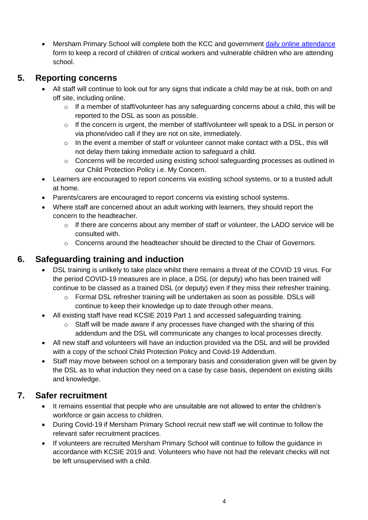• Mersham Primary School will complete both the KCC and government [daily online attendance](file:///C:/Users/KandoA02/OneDrive%20-%20The%20Education%20People/Desktop/daily%20online%20attendance%20form.htm) form to keep a record of children of critical workers and vulnerable children who are attending school.

## **5. Reporting concerns**

- All staff will continue to look out for any signs that indicate a child may be at risk, both on and off site, including online.
	- $\circ$  If a member of staff/volunteer has any safeguarding concerns about a child, this will be reported to the DSL as soon as possible.
	- o If the concern is urgent, the member of staff/volunteer will speak to a DSL in person or via phone/video call if they are not on site, immediately.
	- o In the event a member of staff or volunteer cannot make contact with a DSL, this will not delay them taking immediate action to safeguard a child.
	- $\circ$  Concerns will be recorded using existing school safeguarding processes as outlined in our Child Protection Policy i.e. My Concern.
- Learners are encouraged to report concerns via existing school systems, or to a trusted adult at home.
- Parents/carers are encouraged to report concerns via existing school systems.
- Where staff are concerned about an adult working with learners, they should report the concern to the headteacher.
	- $\circ$  If there are concerns about any member of staff or volunteer, the LADO service will be consulted with.
	- $\circ$  Concerns around the headteacher should be directed to the Chair of Governors.

## **6. Safeguarding training and induction**

- DSL training is unlikely to take place whilst there remains a threat of the COVID 19 virus. For the period COVID-19 measures are in place, a DSL (or deputy) who has been trained will continue to be classed as a trained DSL (or deputy) even if they miss their refresher training.
	- o Formal DSL refresher training will be undertaken as soon as possible. DSLs will continue to keep their knowledge up to date through other means.
- All existing staff have read KCSIE 2019 Part 1 and accessed safeguarding training.
	- o Staff will be made aware if any processes have changed with the sharing of this addendum and the DSL will communicate any changes to local processes directly.
- All new staff and volunteers will have an induction provided via the DSL and will be provided with a copy of the school Child Protection Policy and Covid-19 Addendum.
- Staff may move between school on a temporary basis and consideration given will be given by the DSL as to what induction they need on a case by case basis, dependent on existing skills and knowledge.

## **7. Safer recruitment**

- It remains essential that people who are unsuitable are not allowed to enter the children's workforce or gain access to children.
- During Covid-19 if Mersham Primary School recruit new staff we will continue to follow the relevant safer recruitment practices.
- If volunteers are recruited Mersham Primary School will continue to follow the guidance in accordance with KCSIE 2019 and. Volunteers who have not had the relevant checks will not be left unsupervised with a child.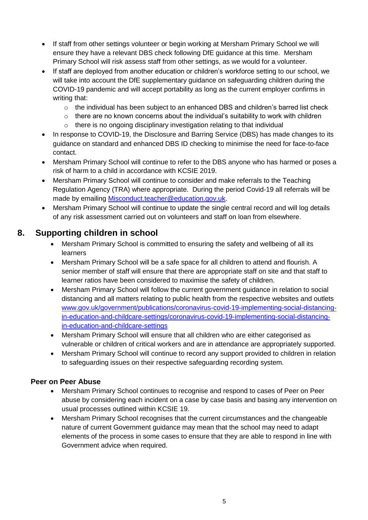- If staff from other settings volunteer or begin working at Mersham Primary School we will ensure they have a relevant DBS check following DfE guidance at this time. Mersham Primary School will risk assess staff from other settings, as we would for a volunteer.
- If staff are deployed from another education or children's workforce setting to our school, we will take into account the DfE supplementary guidance on safeguarding children during the COVID-19 pandemic and will accept portability as long as the current employer confirms in writing that:
	- $\circ$  the individual has been subject to an enhanced DBS and children's barred list check
	- $\circ$  there are no known concerns about the individual's suitability to work with children
	- o there is no ongoing disciplinary investigation relating to that individual
- In response to COVID-19, the Disclosure and Barring Service (DBS) has made changes to its guidance on standard and enhanced DBS ID checking to minimise the need for face-to-face contact.
- Mersham Primary School will continue to refer to the DBS anyone who has harmed or poses a risk of harm to a child in accordance with KCSIE 2019.
- Mersham Primary School will continue to consider and make referrals to the Teaching Regulation Agency (TRA) where appropriate. During the period Covid-19 all referrals will be made by emailing **Misconduct.teacher@education.gov.uk.**
- Mersham Primary School will continue to update the single central record and will log details of any risk assessment carried out on volunteers and staff on loan from elsewhere.

### **8. Supporting children in school**

- Mersham Primary School is committed to ensuring the safety and wellbeing of all its learners
- Mersham Primary School will be a safe space for all children to attend and flourish. A senior member of staff will ensure that there are appropriate staff on site and that staff to learner ratios have been considered to maximise the safety of children.
- Mersham Primary School will follow the current government guidance in relation to social distancing and all matters relating to public health from the respective websites and outlets [www.gov.uk/government/publications/coronavirus-covid-19-implementing-social-distancing](http://www.gov.uk/government/publications/coronavirus-covid-19-implementing-social-distancing-in-education-and-childcare-settings/coronavirus-covid-19-implementing-social-distancing-in-education-and-childcare-settings)[in-education-and-childcare-settings/coronavirus-covid-19-implementing-social-distancing](http://www.gov.uk/government/publications/coronavirus-covid-19-implementing-social-distancing-in-education-and-childcare-settings/coronavirus-covid-19-implementing-social-distancing-in-education-and-childcare-settings)[in-education-and-childcare-settings](http://www.gov.uk/government/publications/coronavirus-covid-19-implementing-social-distancing-in-education-and-childcare-settings/coronavirus-covid-19-implementing-social-distancing-in-education-and-childcare-settings)
- Mersham Primary School will ensure that all children who are either categorised as vulnerable or children of critical workers and are in attendance are appropriately supported.
- Mersham Primary School will continue to record any support provided to children in relation to safeguarding issues on their respective safeguarding recording system.

#### **Peer on Peer Abuse**

- Mersham Primary School continues to recognise and respond to cases of Peer on Peer abuse by considering each incident on a case by case basis and basing any intervention on usual processes outlined within KCSIE 19.
- Mersham Primary School recognises that the current circumstances and the changeable nature of current Government guidance may mean that the school may need to adapt elements of the process in some cases to ensure that they are able to respond in line with Government advice when required.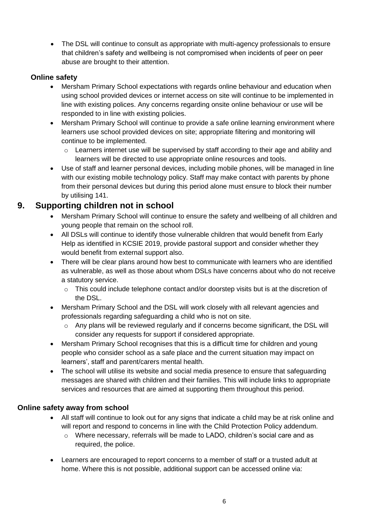The DSL will continue to consult as appropriate with multi-agency professionals to ensure that children's safety and wellbeing is not compromised when incidents of peer on peer abuse are brought to their attention.

#### **Online safety**

- Mersham Primary School expectations with regards online behaviour and education when using school provided devices or internet access on site will continue to be implemented in line with existing polices. Any concerns regarding onsite online behaviour or use will be responded to in line with existing policies.
- Mersham Primary School will continue to provide a safe online learning environment where learners use school provided devices on site; appropriate filtering and monitoring will continue to be implemented.
	- o Learners internet use will be supervised by staff according to their age and ability and learners will be directed to use appropriate online resources and tools.
- Use of staff and learner personal devices, including mobile phones, will be managed in line with our existing mobile technology policy. Staff may make contact with parents by phone from their personal devices but during this period alone must ensure to block their number by utilising 141.

### **9. Supporting children not in school**

- Mersham Primary School will continue to ensure the safety and wellbeing of all children and young people that remain on the school roll.
- All DSLs will continue to identify those vulnerable children that would benefit from Early Help as identified in KCSIE 2019, provide pastoral support and consider whether they would benefit from external support also.
- There will be clear plans around how best to communicate with learners who are identified as vulnerable, as well as those about whom DSLs have concerns about who do not receive a statutory service.
	- $\circ$  This could include telephone contact and/or doorstep visits but is at the discretion of the DSL.
- Mersham Primary School and the DSL will work closely with all relevant agencies and professionals regarding safeguarding a child who is not on site.
	- o Any plans will be reviewed regularly and if concerns become significant, the DSL will consider any requests for support if considered appropriate.
- Mersham Primary School recognises that this is a difficult time for children and young people who consider school as a safe place and the current situation may impact on learners', staff and parent/carers mental health.
- The school will utilise its website and social media presence to ensure that safeguarding messages are shared with children and their families. This will include links to appropriate services and resources that are aimed at supporting them throughout this period.

#### **Online safety away from school**

- All staff will continue to look out for any signs that indicate a child may be at risk online and will report and respond to concerns in line with the Child Protection Policy addendum.
	- o Where necessary, referrals will be made to LADO, children's social care and as required, the police.
- Learners are encouraged to report concerns to a member of staff or a trusted adult at home. Where this is not possible, additional support can be accessed online via: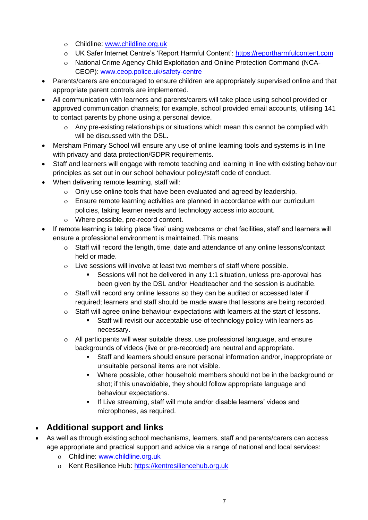- o Childline: [www.childline.org.uk](http://www.childline.org.uk/)
- UK Safer Internet Centre's 'Report Harmful Content': [https://reportharmfulcontent.com](https://reportharmfulcontent.com/)
- National Crime Agency Child Exploitation and Online Protection Command (NCA-CEOP): [www.ceop.police.uk/safety-centre](https://www.ceop.police.uk/safety-centre/)
- Parents/carers are encouraged to ensure children are appropriately supervised online and that appropriate parent controls are implemented.
- All communication with learners and parents/carers will take place using school provided or approved communication channels; for example, school provided email accounts, utilising 141 to contact parents by phone using a personal device.
	- Any pre-existing relationships or situations which mean this cannot be complied with will be discussed with the DSL.
- Mersham Primary School will ensure any use of online learning tools and systems is in line with privacy and data protection/GDPR requirements.
- Staff and learners will engage with remote teaching and learning in line with existing behaviour principles as set out in our school behaviour policy/staff code of conduct.
- When delivering remote learning, staff will:
	- Only use online tools that have been evaluated and agreed by leadership.
	- Ensure remote learning activities are planned in accordance with our curriculum policies, taking learner needs and technology access into account.
	- Where possible, pre-record content.
- If remote learning is taking place 'live' using webcams or chat facilities, staff and learners will ensure a professional environment is maintained. This means:
	- Staff will record the length, time, date and attendance of any online lessons/contact held or made.
	- Live sessions will involve at least two members of staff where possible.
		- Sessions will not be delivered in any 1:1 situation, unless pre-approval has been given by the DSL and/or Headteacher and the session is auditable.
	- Staff will record any online lessons so they can be audited or accessed later if required; learners and staff should be made aware that lessons are being recorded.
	- Staff will agree online behaviour expectations with learners at the start of lessons.
		- Staff will revisit our acceptable use of technology policy with learners as necessary.
	- All participants will wear suitable dress, use professional language, and ensure backgrounds of videos (live or pre-recorded) are neutral and appropriate.
		- Staff and learners should ensure personal information and/or, inappropriate or unsuitable personal items are not visible.
		- Where possible, other household members should not be in the background or shot; if this unavoidable, they should follow appropriate language and behaviour expectations.
		- If Live streaming, staff will mute and/or disable learners' videos and microphones, as required.

## **Additional support and links**

- As well as through existing school mechanisms, learners, staff and parents/carers can access age appropriate and practical support and advice via a range of national and local services:
	- Childline: [www.childline.org.uk](https://www.childline.org.uk/)
	- Kent Resilience Hub: [https://kentresiliencehub.org.uk](https://kentresiliencehub.org.uk/)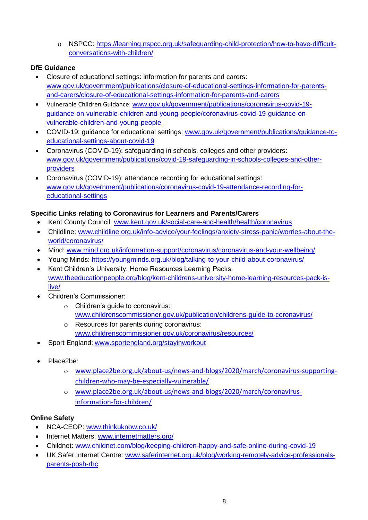o NSPCC: [https://learning.nspcc.org.uk/safeguarding-child-protection/how-to-have-difficult](https://learning.nspcc.org.uk/safeguarding-child-protection/how-to-have-difficult-conversations-with-children/)[conversations-with-children/](https://learning.nspcc.org.uk/safeguarding-child-protection/how-to-have-difficult-conversations-with-children/)

#### **DfE Guidance**

- Closure of educational settings: information for parents and carers: [www.gov.uk/government/publications/closure-of-educational-settings-information-for-parents](https://www.gov.uk/government/publications/closure-of-educational-settings-information-for-parents-and-carers/closure-of-educational-settings-information-for-parents-and-carers)[and-carers/closure-of-educational-settings-information-for-parents-and-carers](https://www.gov.uk/government/publications/closure-of-educational-settings-information-for-parents-and-carers/closure-of-educational-settings-information-for-parents-and-carers)
- Vulnerable Children Guidance: [www.gov.uk/government/publications/coronavirus-covid-19](https://www.gov.uk/government/publications/coronavirus-covid-19-guidance-on-vulnerable-children-and-young-people/coronavirus-covid-19-guidance-on-vulnerable-children-and-young-people) [guidance-on-vulnerable-children-and-young-people/coronavirus-covid-19-guidance-on](https://www.gov.uk/government/publications/coronavirus-covid-19-guidance-on-vulnerable-children-and-young-people/coronavirus-covid-19-guidance-on-vulnerable-children-and-young-people)[vulnerable-children-and-young-people](https://www.gov.uk/government/publications/coronavirus-covid-19-guidance-on-vulnerable-children-and-young-people/coronavirus-covid-19-guidance-on-vulnerable-children-and-young-people)
- COVID-19: guidance for educational settings: [www.gov.uk/government/publications/guidance-to](http://www.gov.uk/government/publications/guidance-to-educational-settings-about-covid-19)[educational-settings-about-covid-19](http://www.gov.uk/government/publications/guidance-to-educational-settings-about-covid-19)
- Coronavirus (COVID-19): safeguarding in schools, colleges and other providers: [www.gov.uk/government/publications/covid-19-safeguarding-in-schools-colleges-and-other](http://www.gov.uk/government/publications/covid-19-safeguarding-in-schools-colleges-and-other-providers)[providers](http://www.gov.uk/government/publications/covid-19-safeguarding-in-schools-colleges-and-other-providers)
- Coronavirus (COVID-19): attendance recording for educational settings: [www.gov.uk/government/publications/coronavirus-covid-19-attendance-recording-for](http://www.gov.uk/government/publications/coronavirus-covid-19-attendance-recording-for-educational-settings)[educational-settings](http://www.gov.uk/government/publications/coronavirus-covid-19-attendance-recording-for-educational-settings)

#### **Specific Links relating to Coronavirus for Learners and Parents/Carers**

- Kent County Council: [www.kent.gov.uk/social-care-and-health/health/coronavirus](http://www.kent.gov.uk/social-care-and-health/health/coronavirus)
- Childline: [www.childline.org.uk/info-advice/your-feelings/anxiety-stress-panic/worries-about-the](http://www.childline.org.uk/info-advice/your-feelings/anxiety-stress-panic/worries-about-the-world/coronavirus/)[world/coronavirus/](http://www.childline.org.uk/info-advice/your-feelings/anxiety-stress-panic/worries-about-the-world/coronavirus/)
- Mind: [www.mind.org.uk/information-support/coronavirus/coronavirus-and-your-wellbeing/](http://www.mind.org.uk/information-support/coronavirus/coronavirus-and-your-wellbeing/)
- Young Minds: <https://youngminds.org.uk/blog/talking-to-your-child-about-coronavirus/>
- Kent Children's University: Home Resources Learning Packs: [www.theeducationpeople.org/blog/kent-childrens-university-home-learning-resources-pack-is](http://www.theeducationpeople.org/blog/kent-childrens-university-home-learning-resources-pack-is-live/)[live/](http://www.theeducationpeople.org/blog/kent-childrens-university-home-learning-resources-pack-is-live/)
- Children's Commissioner:
	- Children's guide to coronavirus: [www.childrenscommissioner.gov.uk/publication/childrens-guide-to-coronavirus/](http://www.childrenscommissioner.gov.uk/publication/childrens-guide-to-coronavirus/)
	- Resources for parents during coronavirus: [www.childrenscommissioner.gov.uk/coronavirus/resources/](http://www.childrenscommissioner.gov.uk/coronavirus/resources/)
- Sport England: [www.sportengland.org/stayinworkout](http://www.sportengland.org/stayinworkout)
- Place2be:
	- [www.place2be.org.uk/about-us/news-and-blogs/2020/march/coronavirus-supporting](http://www.place2be.org.uk/about-us/news-and-blogs/2020/march/coronavirus-supporting-children-who-may-be-especially-vulnerable/)[children-who-may-be-especially-vulnerable/](http://www.place2be.org.uk/about-us/news-and-blogs/2020/march/coronavirus-supporting-children-who-may-be-especially-vulnerable/)
	- [www.place2be.org.uk/about-us/news-and-blogs/2020/march/coronavirus](http://www.place2be.org.uk/about-us/news-and-blogs/2020/march/coronavirus-information-for-children/)[information-for-children/](http://www.place2be.org.uk/about-us/news-and-blogs/2020/march/coronavirus-information-for-children/)

#### **Online Safety**

- NCA-CEOP: [www.thinkuknow.co.uk/](https://www.thinkuknow.co.uk/)
- Internet Matters: [www.internetmatters.org/](https://www.internetmatters.org/)
- Childnet: [www.childnet.com/blog/keeping-children-happy-and-safe-online-during-covid-19](http://www.childnet.com/blog/keeping-children-happy-and-safe-online-during-covid-19)
- UK Safer Internet Centre: [www.saferinternet.org.uk/blog/working-remotely-advice-professionals](https://www.saferinternet.org.uk/blog/working-remotely-advice-professionals-parents-posh-rhc)[parents-posh-rhc](https://www.saferinternet.org.uk/blog/working-remotely-advice-professionals-parents-posh-rhc)